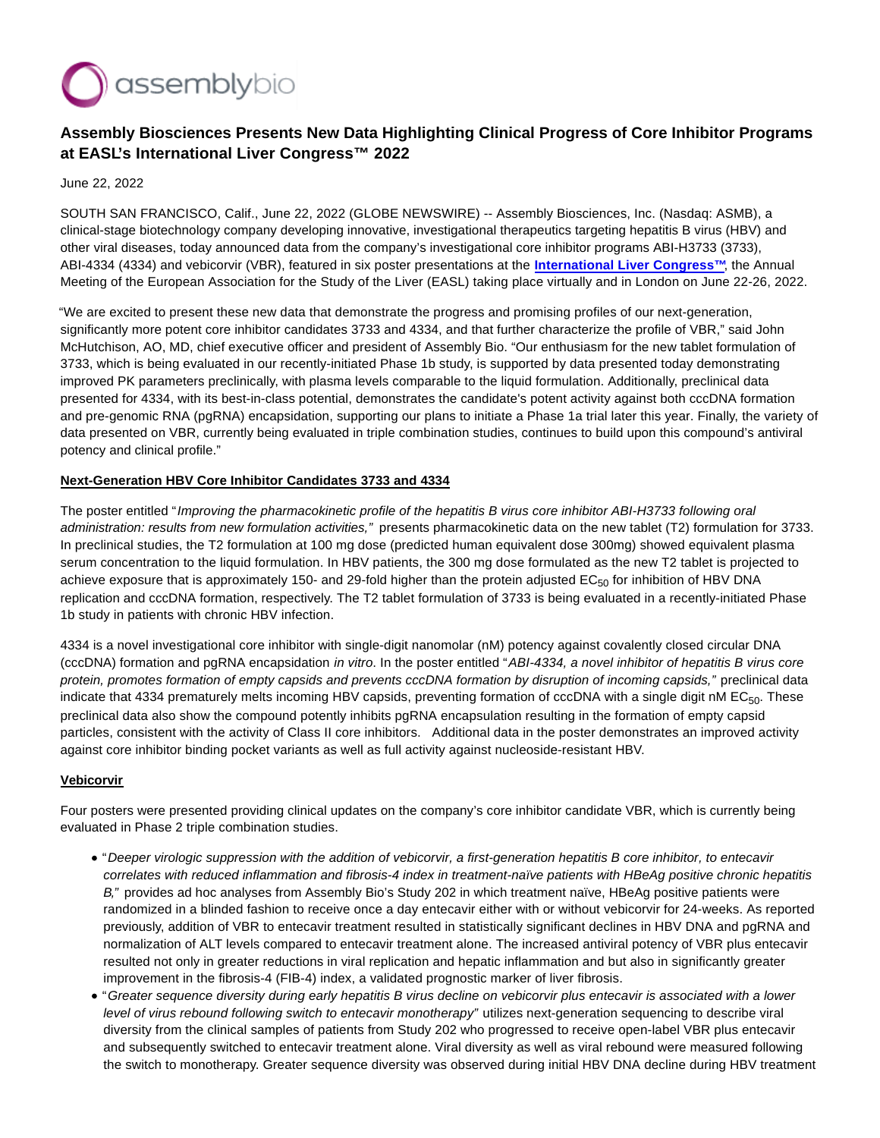

# **Assembly Biosciences Presents New Data Highlighting Clinical Progress of Core Inhibitor Programs at EASL's International Liver Congress™ 2022**

June 22, 2022

SOUTH SAN FRANCISCO, Calif., June 22, 2022 (GLOBE NEWSWIRE) -- Assembly Biosciences, Inc. (Nasdaq: ASMB), a clinical-stage biotechnology company developing innovative, investigational therapeutics targeting hepatitis B virus (HBV) and other viral diseases, today announced data from the company's investigational core inhibitor programs ABI-H3733 (3733), ABI-4334 (4334) and vebicorvir (VBR), featured in six poster presentations at the **[International Liver Congress™](https://www.globenewswire.com/Tracker?data=bMwZbxgcz8xL5IPVJxOUFeuykKpBDSWICNFPhB06iftT_NAuDVNhanhPf1QPLaqBDRfLfxb3OArYpTQMnjwEu23ZxuOR9rhgQlbFA4znIJqENpp5VX3FhlsOgLRbKmLzPfH2TTEA7LillL2PVQBgBQ==)**, the Annual Meeting of the European Association for the Study of the Liver (EASL) taking place virtually and in London on June 22-26, 2022.

"We are excited to present these new data that demonstrate the progress and promising profiles of our next-generation, significantly more potent core inhibitor candidates 3733 and 4334, and that further characterize the profile of VBR," said John McHutchison, AO, MD, chief executive officer and president of Assembly Bio. "Our enthusiasm for the new tablet formulation of 3733, which is being evaluated in our recently-initiated Phase 1b study, is supported by data presented today demonstrating improved PK parameters preclinically, with plasma levels comparable to the liquid formulation. Additionally, preclinical data presented for 4334, with its best-in-class potential, demonstrates the candidate's potent activity against both cccDNA formation and pre-genomic RNA (pgRNA) encapsidation, supporting our plans to initiate a Phase 1a trial later this year. Finally, the variety of data presented on VBR, currently being evaluated in triple combination studies, continues to build upon this compound's antiviral potency and clinical profile."

## **Next-Generation HBV Core Inhibitor Candidates 3733 and 4334**

The poster entitled "Improving the pharmacokinetic profile of the hepatitis B virus core inhibitor ABI-H3733 following oral administration: results from new formulation activities," presents pharmacokinetic data on the new tablet (T2) formulation for 3733. In preclinical studies, the T2 formulation at 100 mg dose (predicted human equivalent dose 300mg) showed equivalent plasma serum concentration to the liquid formulation. In HBV patients, the 300 mg dose formulated as the new T2 tablet is projected to achieve exposure that is approximately 150- and 29-fold higher than the protein adjusted  $EC_{50}$  for inhibition of HBV DNA replication and cccDNA formation, respectively. The T2 tablet formulation of 3733 is being evaluated in a recently-initiated Phase 1b study in patients with chronic HBV infection.

4334 is a novel investigational core inhibitor with single-digit nanomolar (nM) potency against covalently closed circular DNA (cccDNA) formation and pgRNA encapsidation in vitro. In the poster entitled "ABI-4334, a novel inhibitor of hepatitis B virus core protein, promotes formation of empty capsids and prevents cccDNA formation by disruption of incoming capsids," preclinical data indicate that 4334 prematurely melts incoming HBV capsids, preventing formation of cccDNA with a single digit nM EC<sub>50</sub>. These preclinical data also show the compound potently inhibits pgRNA encapsulation resulting in the formation of empty capsid particles, consistent with the activity of Class II core inhibitors. Additional data in the poster demonstrates an improved activity against core inhibitor binding pocket variants as well as full activity against nucleoside-resistant HBV.

## **Vebicorvir**

Four posters were presented providing clinical updates on the company's core inhibitor candidate VBR, which is currently being evaluated in Phase 2 triple combination studies.

- "Deeper virologic suppression with the addition of vebicorvir, a first-generation hepatitis B core inhibitor, to entecavir correlates with reduced inflammation and fibrosis-4 index in treatment-naïve patients with HBeAg positive chronic hepatitis B," provides ad hoc analyses from Assembly Bio's Study 202 in which treatment naïve, HBeAg positive patients were randomized in a blinded fashion to receive once a day entecavir either with or without vebicorvir for 24-weeks. As reported previously, addition of VBR to entecavir treatment resulted in statistically significant declines in HBV DNA and pgRNA and normalization of ALT levels compared to entecavir treatment alone. The increased antiviral potency of VBR plus entecavir resulted not only in greater reductions in viral replication and hepatic inflammation and but also in significantly greater improvement in the fibrosis-4 (FIB-4) index, a validated prognostic marker of liver fibrosis.
- "Greater sequence diversity during early hepatitis B virus decline on vebicorvir plus entecavir is associated with a lower level of virus rebound following switch to entecavir monotherapy" utilizes next-generation sequencing to describe viral diversity from the clinical samples of patients from Study 202 who progressed to receive open-label VBR plus entecavir and subsequently switched to entecavir treatment alone. Viral diversity as well as viral rebound were measured following the switch to monotherapy. Greater sequence diversity was observed during initial HBV DNA decline during HBV treatment